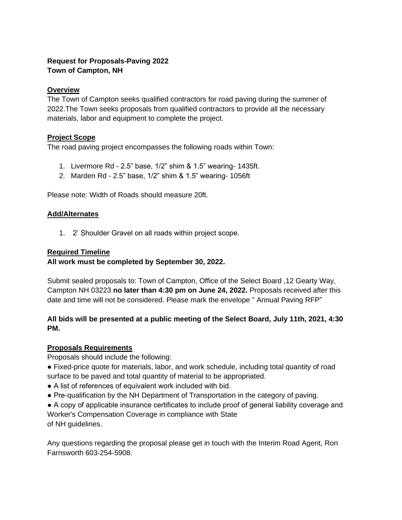# **Request for Proposals-Paving 2022 Town of Campton, NH**

## **Overview**

The Town of Campton seeks qualified contractors for road paving during the summer of 2022.The Town seeks proposals from qualified contractors to provide all the necessary materials, labor and equipment to complete the project.

# **Project Scope**

The road paving project encompasses the following roads within Town:

- 1. Livermore Rd 2.5" base, 1/2" shim & 1.5" wearing- 1435ft.
- 2. Marden Rd 2.5" base, 1/2" shim & 1.5" wearing- 1056ft

Please note: Width of Roads should measure 20ft.

#### **Add/Alternates**

1. 2' Shoulder Gravel on all roads within project scope.

#### **Required Timeline**

### **All work must be completed by September 30, 2022.**

Submit sealed proposals to: Town of Campton, Office of the Select Board ,12 Gearty Way, Campton NH 03223 **no later than 4:30 pm on June 24, 2022.** Proposals received after this date and time will not be considered. Please mark the envelope " Annual Paving RFP"

### **All bids will be presented at a public meeting of the Select Board, July 11th, 2021, 4:30 PM.**

#### **Proposals Requirements**

Proposals should include the following:

● Fixed-price quote for materials, labor, and work schedule, including total quantity of road surface to be paved and total quantity of material to be appropriated.

- A list of references of equivalent work included with bid.
- Pre-qualification by the NH Department of Transportation in the category of paving.

● A copy of applicable insurance certificates to include proof of general liability coverage and Worker's Compensation Coverage in compliance with State of NH guidelines.

Any questions regarding the proposal please get in touch with the Interim Road Agent, Ron Farnsworth 603-254-5908.